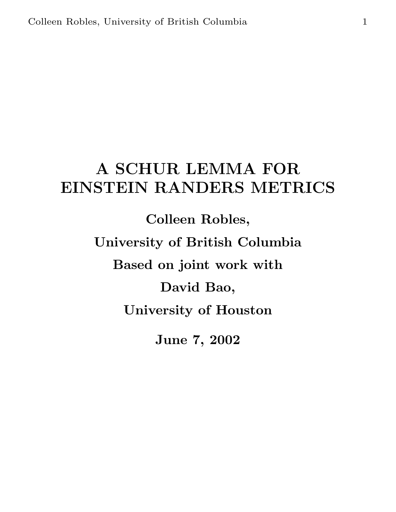# A SCHUR LEMMA FOR EINSTEIN RANDERS METRICS

Colleen Robles, University of British Columbia Based on joint work with David Bao, University of Houston June 7, 2002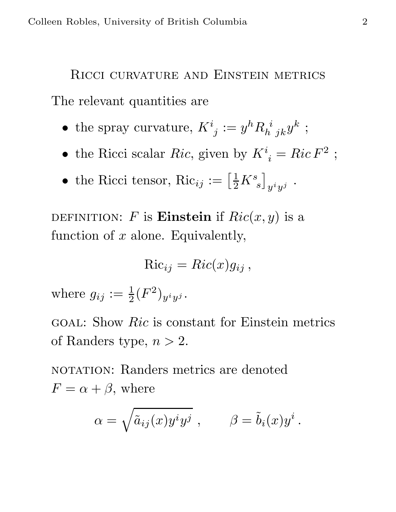# Ricci curvature and Einstein metrics The relevant quantities are

- the spray curvature,  $K^i_{\;j} := y^h R_{h\;\;jk}^{\;i} y^k$ ;
- the Ricci scalar Ric, given by  $K^i_{\;i} = Ric F^2$ ;
- the Ricci tensor,  $Ric_{ij} := \left[\frac{1}{2}K_s^s\right]$  $\overline{\phantom{a}}$  $y^i y^j$ .

DEFINITION: F is **Einstein** if  $Ric(x, y)$  is a function of  $x$  alone. Equivalently,

$$
\text{Ric}_{ij} = Ric(x)g_{ij}\,,
$$

where  $g_{ij} := \frac{1}{2} (F^2)_{y^i y^j}$ .

goal: Show Ric is constant for Einstein metrics of Randers type,  $n > 2$ .

NOTATION: Randers metrics are denoted  $F = \alpha + \beta$ , where

$$
\alpha = \sqrt{\tilde{a}_{ij}(x)y^i y^j} , \qquad \beta = \tilde{b}_i(x) y^i .
$$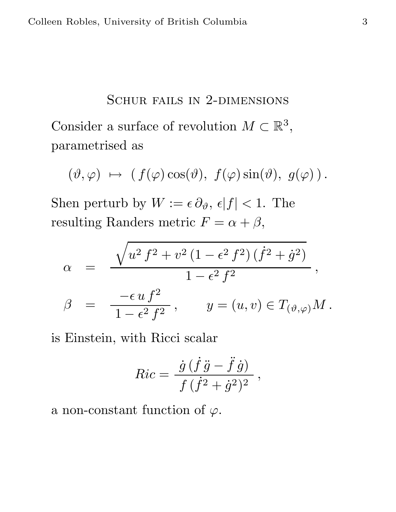#### SCHUR FAILS IN 2-DIMENSIONS

Consider a surface of revolution  $M \subset \mathbb{R}^3$ , parametrised as

$$
(\vartheta,\varphi) \ \mapsto \ (\ f(\varphi)\cos(\vartheta), \ f(\varphi)\sin(\vartheta), \ g(\varphi))\,.
$$

Shen perturb by  $W := \epsilon \partial_{\vartheta}, \epsilon |f| < 1$ . The resulting Randers metric  $F = \alpha + \beta$ ,

$$
\alpha = \frac{\sqrt{u^2 f^2 + v^2 (1 - \epsilon^2 f^2) (\dot{f}^2 + \dot{g}^2)}}{1 - \epsilon^2 f^2},
$$
  

$$
\beta = \frac{-\epsilon u f^2}{1 - \epsilon^2 f^2}, \qquad y = (u, v) \in T_{(\vartheta, \varphi)} M.
$$

is Einstein, with Ricci scalar

$$
Ric = \frac{\dot{g}(\dot{f}\ddot{g} - \ddot{f}\dot{g})}{f(\dot{f}^2 + \dot{g}^2)^2},
$$

a non-constant function of  $\varphi$ .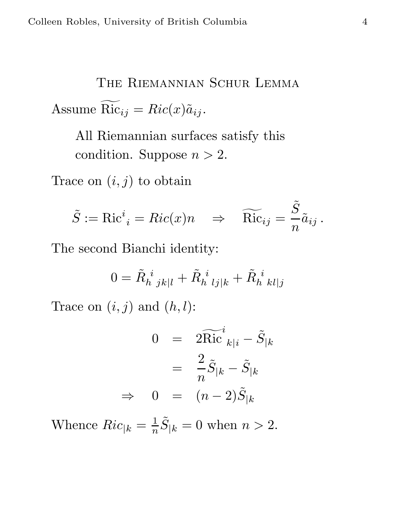The Riemannian Schur Lemma Assume  $\overline{\mathrm{Ric}}_{ij} = Ric(x)\tilde{a}_{ij}$ .

All Riemannian surfaces satisfy this condition. Suppose  $n > 2$ .

Trace on  $(i, j)$  to obtain

$$
\tilde{S} := \text{Ric}^i{}_i = Ric(x)n \quad \Rightarrow \quad \widetilde{\text{Ric}}_{ij} = \frac{\tilde{S}}{n} \tilde{a}_{ij} \,.
$$

The second Bianchi identity:

$$
0 = \tilde{R}_{h \; jk|l}^{i} + \tilde{R}_{h \; lj|k}^{i} + \tilde{R}_{h \; kl|j}^{i}
$$

Trace on  $(i, j)$  and  $(h, l)$ :

$$
0 = 2\widetilde{\text{Ric}}_{k|i}^{i} - \widetilde{S}_{|k}
$$

$$
= \frac{2}{n}\widetilde{S}_{|k} - \widetilde{S}_{|k}
$$

$$
\Rightarrow 0 = (n-2)\widetilde{S}_{|k}
$$

Whence  $Ric_{|k} = \frac{1}{n}$  $\frac{1}{n}\tilde{S}_{|k} = 0$  when  $n > 2$ .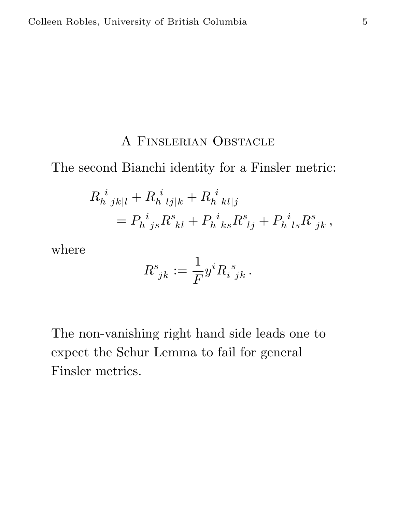#### A Finslerian Obstacle

The second Bianchi identity for a Finsler metric:

$$
R_{h\ jk|l}^{i} + R_{h\ lj|k}^{i} + R_{h\ kl|j}^{i}
$$
  
=  $P_{h\ js}^{i} R_{kl}^{s} + P_{h\ ks}^{i} R_{lj}^{s} + P_{h\ l s}^{i} R_{jk}^{s}$ ,

where

$$
R^s_{\;jk} := \frac{1}{F} y^i R_i^{\;s}_{\;jk} \,.
$$

The non-vanishing right hand side leads one to expect the Schur Lemma to fail for general Finsler metrics.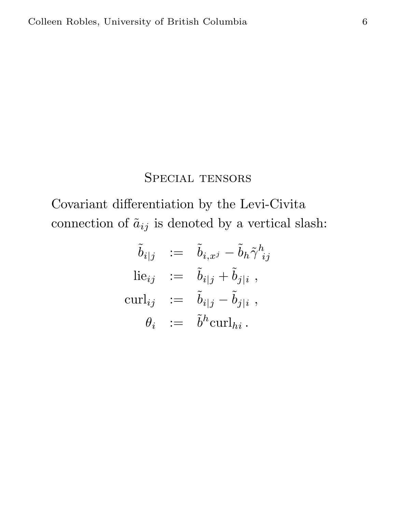### SPECIAL TENSORS

Covariant differentiation by the Levi-Civita connection of  $\tilde{a}_{ij}$  is denoted by a vertical slash:

$$
\begin{aligned}\n\tilde{b}_{i|j} &:= \tilde{b}_{i,x^j} - \tilde{b}_h \tilde{\gamma}^h_{ij} \\
\text{lie}_{ij} &:= \tilde{b}_{i|j} + \tilde{b}_{j|i} \;, \\
\text{curl}_{ij} &:= \tilde{b}_{i|j} - \tilde{b}_{j|i} \;, \\
\theta_i &:= \tilde{b}^h \text{curl}_{hi}.\n\end{aligned}
$$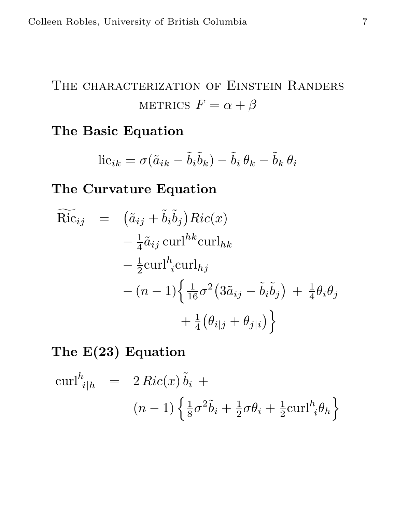## THE CHARACTERIZATION OF EINSTEIN RANDERS METRICS  $F = \alpha + \beta$

### The Basic Equation

$$
\text{lie}_{ik} = \sigma(\tilde{a}_{ik} - \tilde{b}_i \tilde{b}_k) - \tilde{b}_i \theta_k - \tilde{b}_k \theta_i
$$

The Curvature Equation

$$
\widetilde{\text{Ric}}_{ij} = \left( \tilde{a}_{ij} + \tilde{b}_{i} \tilde{b}_{j} \right) \underset{-\frac{1}{4} \tilde{a}_{ij} \text{ curl}^{hk} \text{curl}_{hk}}{-\frac{1}{2} \text{curl}^{h} \underset{i}{\text{curl}}_{hj}} - \frac{1}{2} \text{curl}^{h} \underset{i}{\text{curl}}_{hj} - (n-1) \left\{ \frac{1}{16} \sigma^{2} \left( 3 \tilde{a}_{ij} - \tilde{b}_{i} \tilde{b}_{j} \right) + \frac{1}{4} \theta_{i} \theta_{j} + \frac{1}{4} \left( \theta_{i|j} + \theta_{j|i} \right) \right\}
$$

### The E(23) Equation

$$
\operatorname{curl}^{h}_{i|h} = 2\operatorname{Ric}(x)\tilde{b}_{i} +
$$

$$
(n-1)\left\{\frac{1}{8}\sigma^{2}\tilde{b}_{i} + \frac{1}{2}\sigma\theta_{i} + \frac{1}{2}\operatorname{curl}^{h}_{i}\theta_{h}\right\}
$$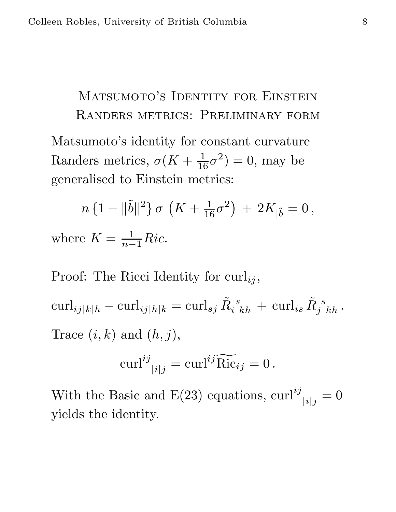# MATSUMOTO'S IDENTITY FOR EINSTEIN Randers metrics: Preliminary form

Matsumoto's identity for constant curvature Randers metrics,  $\sigma(K + \frac{1}{16}\sigma^2) = 0$ , may be generalised to Einstein metrics:

$$
n\,\{1-\|\tilde{b}\|^2\}\,\sigma\,\left(K+\tfrac{1}{16}\sigma^2\right)\,+\,2K_{|\tilde{b}}=0\,,
$$

where  $K = \frac{1}{n-1}Ric$ .

Proof: The Ricci Identity for  $\text{curl}_{ij}$ ,

 $\operatorname{curl}_{ij|k|h} - \operatorname{curl}_{ij|h|k} = \operatorname{curl}_{sj} \tilde{R}_i{}^s_{kh} \, + \, \operatorname{curl}_{is} \tilde{R}_j{}^s_{kh} \, .$ Trace  $(i, k)$  and  $(h, j)$ ,

$$
\operatorname{curl}^{ij}_{\ |i|j} = \operatorname{curl}^{ij} \widetilde{\operatorname{Ric}}_{ij} = 0 \, .
$$

With the Basic and E(23) equations,  $\text{curl}^{ij}_{\;\;|i|j} = 0$ yields the identity.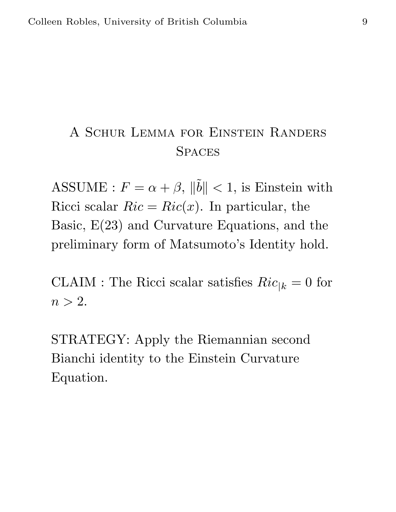## A Schur Lemma for Einstein Randers **SPACES**

ASSUME :  $F = \alpha + \beta$ ,  $\|\tilde{b}\| < 1$ , is Einstein with Ricci scalar  $Ric = Ric(x)$ . In particular, the Basic, E(23) and Curvature Equations, and the preliminary form of Matsumoto's Identity hold.

CLAIM : The Ricci scalar satisfies  $Ric_{|k} = 0$  for  $n > 2$ .

STRATEGY: Apply the Riemannian second Bianchi identity to the Einstein Curvature Equation.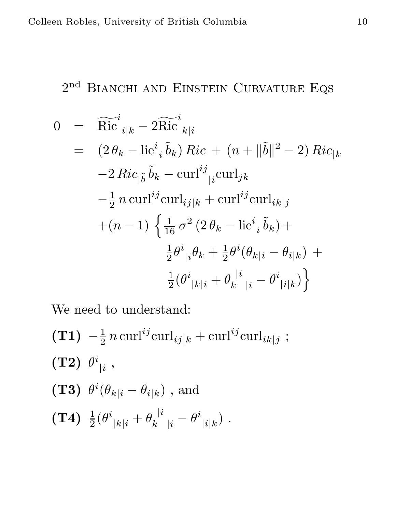### $2<sup>nd</sup>$  BIANCHI AND EINSTEIN CURVATURE EQS

$$
0 = \widetilde{\text{Ric}}_{i|k}^{i} - 2\widetilde{\text{Ric}}_{k|i}^{i}
$$
  
\n
$$
= (2 \theta_{k} - \text{lie}_{i}^{i} \tilde{b}_{k}) Ric + (n + ||\tilde{b}||^{2} - 2) Ric_{|k}
$$
  
\n
$$
-2 Ric_{|\tilde{b}} \tilde{b}_{k} - \text{curl}^{ij} \text{curl}_{jk}
$$
  
\n
$$
-\frac{1}{2} n \text{ curl}^{ij} \text{curl}_{ij|k} + \text{curl}^{ij} \text{curl}_{ik|j}
$$
  
\n
$$
+ (n - 1) \left\{ \frac{1}{16} \sigma^{2} (2 \theta_{k} - \text{lie}_{i}^{i} \tilde{b}_{k}) + \frac{1}{2} \theta^{i} (\theta_{k|i} - \theta_{i|k}) + \frac{1}{2} (\theta^{i} |k|_{i} + \theta_{k} |^{i} + \theta^{i} |k|_{i}) \right\}
$$

;

We need to understand:

$$
\begin{aligned}\n\textbf{(T1)} \quad & -\frac{1}{2} \, n \, \text{curl}^{ij} \text{curl}_{ij|k} + \text{curl}^{ij} \text{curl}_{ik|j} \\
\textbf{(T2)} \quad & \theta^i_{\;|i} \;, \\
\textbf{(T3)} \quad & \theta^i (\theta_{k|i} - \theta_{i|k}) \;, \text{ and} \\
\textbf{(T4)} \quad & \frac{1}{2} (\theta^i_{\;|k|i} + \theta_k^{\;|i}_{\;|i} - \theta^i_{\;|i|k}) \;. \n\end{aligned}
$$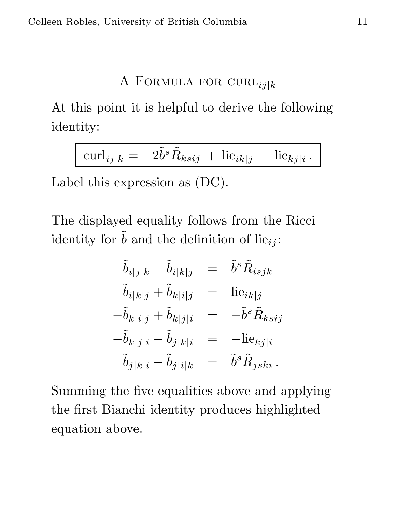#### A FORMULA FOR CURL $_{ij|k}$

At this point it is helpful to derive the following identity:

$$
\operatorname{curl}_{ij|k} = -2\tilde{b}^s \tilde{R}_{ksij} + \operatorname{lie}_{ik|j} - \operatorname{lie}_{kj|i}.
$$

Label this expression as (DC).

The displayed equality follows from the Ricci identity for  $\hat{b}$  and the definition of lie<sub>ij</sub>:

$$
\begin{aligned}\n\tilde{b}_{i|j|k} - \tilde{b}_{i|k|j} &= \tilde{b}^s \tilde{R}_{isjk} \\
\tilde{b}_{i|k|j} + \tilde{b}_{k|i|j} &= \text{lie}_{ik|j} \\
-\tilde{b}_{k|i|j} + \tilde{b}_{k|j|i} &= -\tilde{b}^s \tilde{R}_{ksij} \\
-\tilde{b}_{k|j|i} - \tilde{b}_{j|k|i} &= \text{--lie}_{kj|i} \\
\tilde{b}_{j|k|i} - \tilde{b}_{j|i|k} &= \tilde{b}^s \tilde{R}_{jski}.\n\end{aligned}
$$

Summing the five equalities above and applying the first Bianchi identity produces highlighted equation above.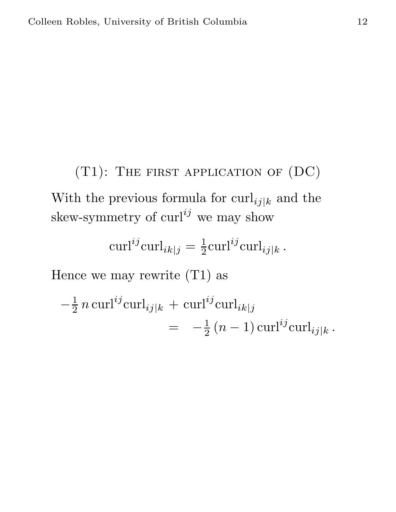$(T1)$ : The first application of  $(DC)$ With the previous formula for  $\text{curl}_{ij|k}$  and the skew-symmetry of  $\text{curl}^{ij}$  we may show

$$
\operatorname{curl}^{ij}\operatorname{curl}_{ik|j} = \frac{1}{2}\operatorname{curl}^{ij}\operatorname{curl}_{ij|k}.
$$

Hence we may rewrite (T1) as

$$
-\frac{1}{2} n \operatorname{curl}^{ij} \operatorname{curl}_{ij|k} + \operatorname{curl}^{ij} \operatorname{curl}_{ik|j} = -\frac{1}{2} (n-1) \operatorname{curl}^{ij} \operatorname{curl}_{ij|k}.
$$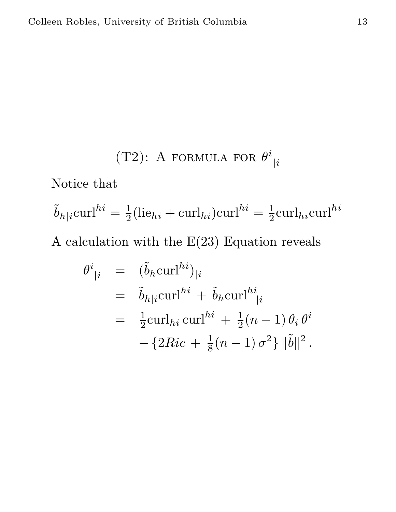(T2): A FORMULA FOR 
$$
\theta^i_{\;|i}
$$

Notice that

$$
\tilde{b}_{h|i} \text{curl}^{hi} = \frac{1}{2} (\text{lie}_{hi} + \text{curl}_{hi}) \text{curl}^{hi} = \frac{1}{2} \text{curl}_{hi} \text{curl}^{hi}
$$

A calculation with the  $\mathrm{E}(23)$  Equation reveals

$$
\theta^{i}_{\;|i} = (\tilde{b}_{h} \text{curl}^{hi})_{|i}
$$
  
=  $\tilde{b}_{h|i} \text{curl}^{hi} + \tilde{b}_{h} \text{curl}^{hi}_{|i}$   
=  $\frac{1}{2} \text{curl}_{hi} \text{curl}^{hi} + \frac{1}{2} (n - 1) \theta_{i} \theta^{i}$   
-  $\{2Ric + \frac{1}{8} (n - 1) \sigma^{2}\} \|\tilde{b}\|^{2}.$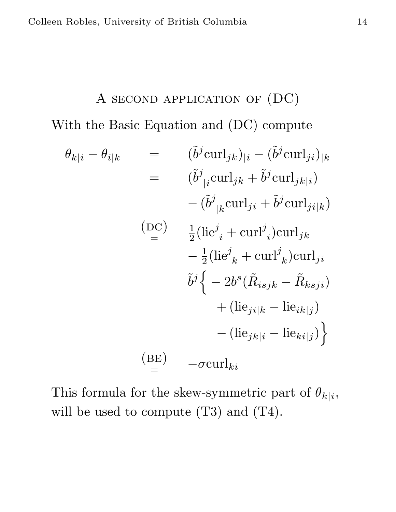# A second application of (DC) With the Basic Equation and (DC) compute

$$
\theta_{k|i} - \theta_{i|k} = (\tilde{b}^{j} \text{curl}_{jk})_{|i} - (\tilde{b}^{j} \text{curl}_{ji})_{|k}
$$
  
\n
$$
= (\tilde{b}^{j}_{|i} \text{curl}_{jk} + \tilde{b}^{j} \text{curl}_{jk|i})
$$
  
\n
$$
- (\tilde{b}^{j}_{|k} \text{curl}_{ji} + \tilde{b}^{j} \text{curl}_{ji|k})
$$
  
\n(DC) 
$$
\frac{1}{2} (\text{lie}^{j}_{|i} + \text{curl}^{j}_{|i} \text{curl}_{jk})
$$
  
\n
$$
- \frac{1}{2} (\text{lie}^{j}_{|k} + \text{curl}^{j}_{|k} \text{curl}_{ji})
$$
  
\n
$$
\tilde{b}^{j} \left\{ -2b^{s} (\tilde{R}_{i s j k} - \tilde{R}_{k s j i})
$$
  
\n
$$
+ (\text{lie}_{j i|k} - \text{lie}_{ik|j})
$$
  
\n
$$
- (\text{lie}_{j k|i} - \text{lie}_{k i|j}) \right\}
$$
  
\n(BE) 
$$
- \sigma \text{curl}_{ki}
$$

This formula for the skew-symmetric part of  $\theta_{k|i}$ , will be used to compute (T3) and (T4).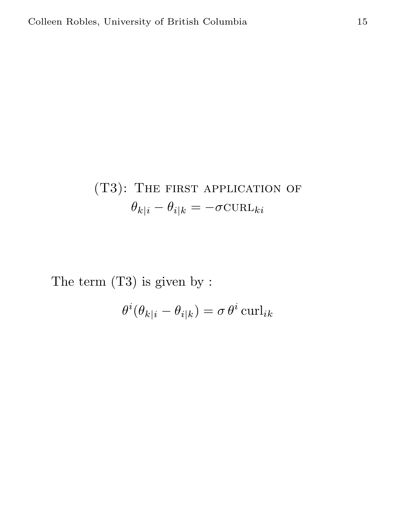# (T3): The first application of  $\theta_{k|i} - \theta_{i|k} = -\sigma \text{CURL}_{ki}$

The term (T3) is given by :

$$
\theta^i(\theta_{k|i} - \theta_{i|k}) = \sigma \theta^i \operatorname{curl}_{ik}
$$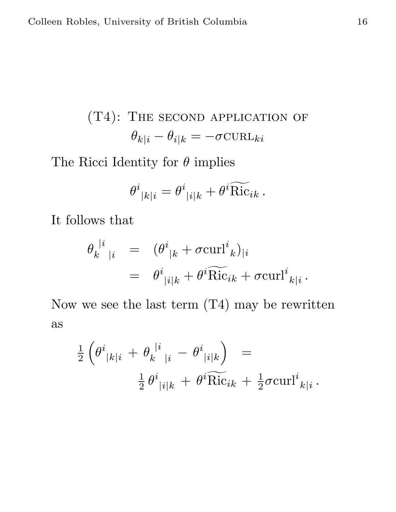(T4): THE SECOND APPLICATION OF  
\n
$$
\theta_{k|i} - \theta_{i|k} = -\sigma \text{CURL}_{ki}
$$

The Ricci Identity for  $\theta$  implies

$$
\theta^i_{\;|k|i} = \theta^i_{\;|i|k} + \theta^i \widetilde{\text{Ric}}_{ik} \, .
$$

It follows that

$$
\theta_k^{\mid i\mid} = (\theta^i_{\mid k} + \sigma \text{curl}^i_{\mid k})_{\mid i}
$$
  
= 
$$
\theta^i_{\mid i\mid k} + \theta^i \widetilde{\text{Ric}}_{ik} + \sigma \text{curl}^i_{\mid k\mid i}.
$$

Now we see the last term  $(T4)$  may be rewritten as

$$
\frac{1}{2} \left( \theta^i_{\;|k|i} \; + \; \theta_k^{\;|i\;|i} \; - \; \theta^i_{\;|i|k} \right) \;\; = \; \newline \frac{1}{2} \, \theta^i_{\;|i|k} \; + \; \theta^i \widetilde{\text{Ric}}_{ik} \; + \; \frac{1}{2} \sigma \text{curl}^i_{\;k|i} \, .
$$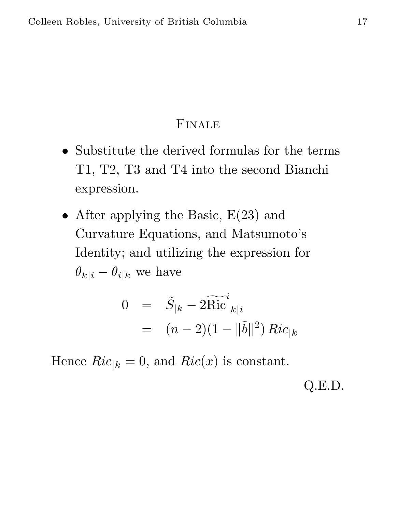### Finale

- Substitute the derived formulas for the terms T1, T2, T3 and T4 into the second Bianchi expression.
- After applying the Basic,  $E(23)$  and Curvature Equations, and Matsumoto's Identity; and utilizing the expression for  $\theta_{k|i} - \theta_{i|k}$  we have

$$
0 = \tilde{S}_{|k} - 2\widetilde{\text{Ric}}^i{}_{k|i}
$$
  
=  $(n-2)(1 - ||\tilde{b}||^2) Ric_{|k}$ 

Hence  $Ric_{|k} = 0$ , and  $Ric(x)$  is constant.

Q.E.D.